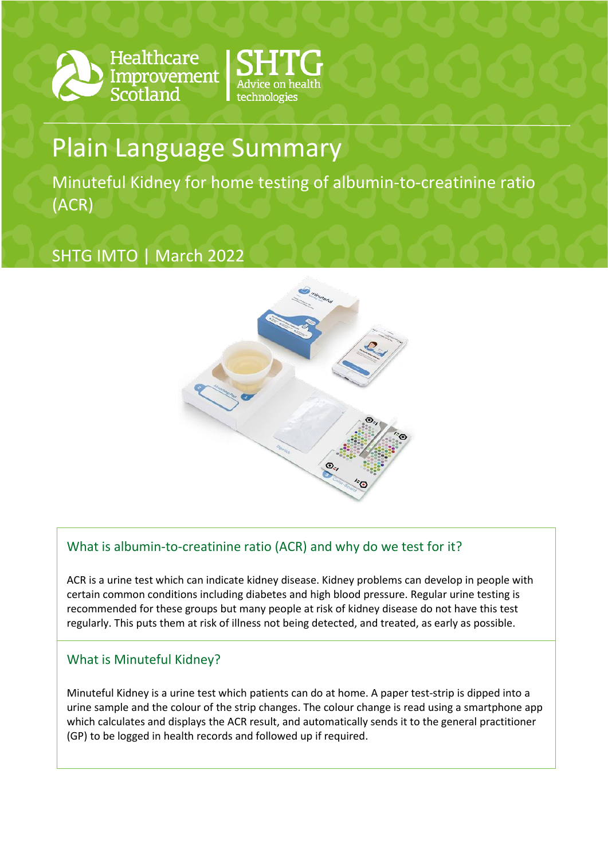

Healthcare Improvement Scotland



# Plain Language Summary

Minuteful Kidney for home testing of albumin-to-creatinine ratio (ACR)

# SHTG IMTO | March 2022



## What is albumin-to-creatinine ratio (ACR) and why do we test for it?

ACR is a urine test which can indicate kidney disease. Kidney problems can develop in people with certain common conditions including diabetes and high blood pressure. Regular urine testing is recommended for these groups but many people at risk of kidney disease do not have this test regularly. This puts them at risk of illness not being detected, and treated, as early as possible.

### What is Minuteful Kidney?

Minuteful Kidney is a urine test which patients can do at home. A paper test-strip is dipped into a urine sample and the colour of the strip changes. The colour change is read using a smartphone app which calculates and displays the ACR result, and automatically sends it to the general practitioner (GP) to be logged in health records and followed up if required.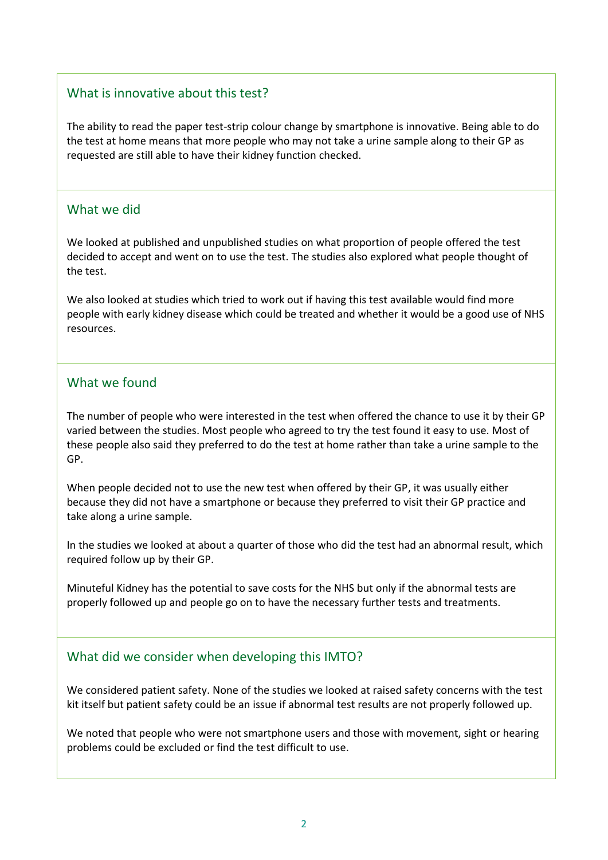#### What is innovative about this test?

The ability to read the paper test-strip colour change by smartphone is innovative. Being able to do the test at home means that more people who may not take a urine sample along to their GP as requested are still able to have their kidney function checked.

#### What we did

We looked at published and unpublished studies on what proportion of people offered the test decided to accept and went on to use the test. The studies also explored what people thought of the test.

We also looked at studies which tried to work out if having this test available would find more people with early kidney disease which could be treated and whether it would be a good use of NHS resources.

#### What we found

The number of people who were interested in the test when offered the chance to use it by their GP varied between the studies. Most people who agreed to try the test found it easy to use. Most of these people also said they preferred to do the test at home rather than take a urine sample to the GP.

When people decided not to use the new test when offered by their GP, it was usually either because they did not have a smartphone or because they preferred to visit their GP practice and take along a urine sample.

In the studies we looked at about a quarter of those who did the test had an abnormal result, which required follow up by their GP.

Minuteful Kidney has the potential to save costs for the NHS but only if the abnormal tests are properly followed up and people go on to have the necessary further tests and treatments.

#### What did we consider when developing this IMTO?

We considered patient safety. None of the studies we looked at raised safety concerns with the test kit itself but patient safety could be an issue if abnormal test results are not properly followed up.

We noted that people who were not smartphone users and those with movement, sight or hearing problems could be excluded or find the test difficult to use.